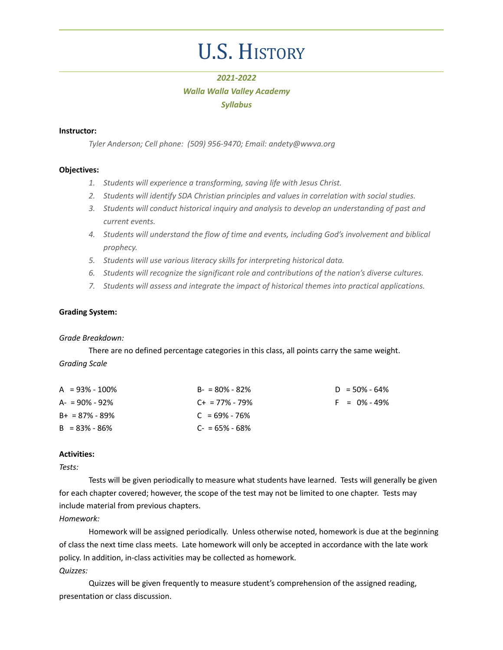# U.S. HISTORY

# *2021-2022 Walla Walla Valley Academy Syllabus*

# **Instructor:**

*Tyler Anderson; Cell phone: (509) 956-9470; Email: andety@wwva.org*

# **Objectives:**

- *1. Students will experience a transforming, saving life with Jesus Christ.*
- *2. Students will identify SDA Christian principles and values in correlation with social studies.*
- *3. Students will conduct historical inquiry and analysis to develop an understanding of past and current events.*
- *4. Students will understand the flow of time and events, including God's involvement and biblical prophecy.*
- *5. Students will use various literacy skills for interpreting historical data.*
- *6. Students will recognize the significant role and contributions of the nation's diverse cultures.*
- *7. Students will assess and integrate the impact of historical themes into practical applications.*

# **Grading System:**

# *Grade Breakdown:*

There are no defined percentage categories in this class, all points carry the same weight. *Grading Scale*

| $A = 93\% - 100\%$ | $B - 80\% - 82\%$   | $D = 50\% - 64\%$ |
|--------------------|---------------------|-------------------|
| $A = 90\% - 92\%$  | $C_{+}$ = 77% - 79% | $F = 0\% - 49\%$  |
| $B+ = 87\% - 89\%$ | $C = 69\% - 76\%$   |                   |
| $B = 83\% - 86\%$  | $C = 65\% - 68\%$   |                   |

# **Activities:**

# *Tests:*

Tests will be given periodically to measure what students have learned. Tests will generally be given for each chapter covered; however, the scope of the test may not be limited to one chapter. Tests may include material from previous chapters.

# *Homework:*

Homework will be assigned periodically. Unless otherwise noted, homework is due at the beginning of class the next time class meets. Late homework will only be accepted in accordance with the late work policy. In addition, in-class activities may be collected as homework. *Quizzes:*

Quizzes will be given frequently to measure student's comprehension of the assigned reading, presentation or class discussion.